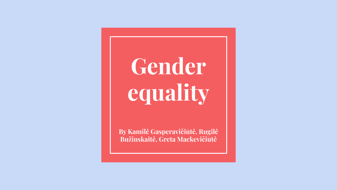**Gender equality**

**By Kamilė Gasperavičiūtė, Rugilė Bužinskaitė, Greta Mackevičiūtė**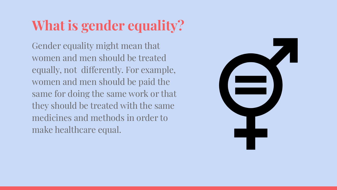# **What is gender equality?**

Gender equality might mean that women and men should be treated equally, not differently. For example, women and men should be paid the same for doing the same work or that they should be treated with the same medicines and methods in order to make healthcare equal.

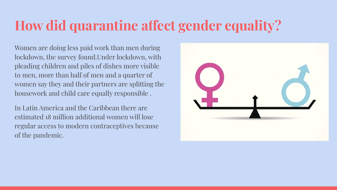## **How did quarantine affect gender equality?**

Women are doing less paid work than men during lockdown, the survey found.Under lockdown, with pleading children and piles of dishes more visible to men, more than half of men and a quarter of women say they and their partners are splitting the housework and child care equally responsible .

In Latin America and the Caribbean there are estimated 18 million additional women will lose regular access to modern contraceptives because of the pandemic.

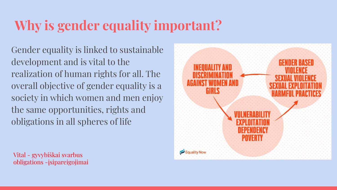## **Why is gender equality important?**

Gender equality is linked to sustainable development and is vital to the realization of human rights for all. The overall objective of gender equality is a society in which women and men enjoy the same opportunities, rights and obligations in all spheres of life

Vital - gyvybiškai svarbus obligations -įsipareigojimai

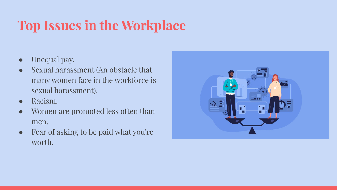## **Top Issues in the Workplace**

- Unequal pay.
- Sexual harassment (An obstacle that many women face in the workforce is sexual harassment).
- Racism.
- Women are promoted less often than men.
- Fear of asking to be paid what you're worth.

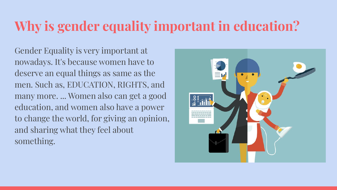#### **Why is gender equality important in education?**

Gender Equality is very important at nowadays. It's because women have to deserve an equal things as same as the men. Such as, EDUCATION, RIGHTS, and many more. ... Women also can get a good education, and women also have a power to change the world, for giving an opinion, and sharing what they feel about something.

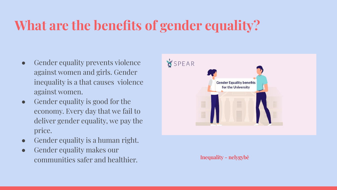## **What are the benefits of gender equality?**

- Gender equality prevents violence against women and girls. Gender inequality is a that causes violence against women.
- Gender equality is good for the economy. Every day that we fail to deliver gender equality, we pay the price.
- Gender equality is a human right.
- Gender equality makes our communities safer and healthier. Inequality - nelygybė

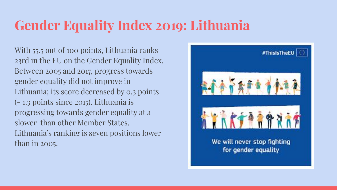## **Gender Equality Index 2019: Lithuania**

With 55.5 out of 100 points, Lithuania ranks 23rd in the EU on the Gender Equality Index. Between 2005 and 2017, progress towards gender equality did not improve in Lithuania; its score decreased by 0.3 points (- 1.3 points since 2015). Lithuania is progressing towards gender equality at a slower than other Member States. Lithuania's ranking is seven positions lower than in 2005.